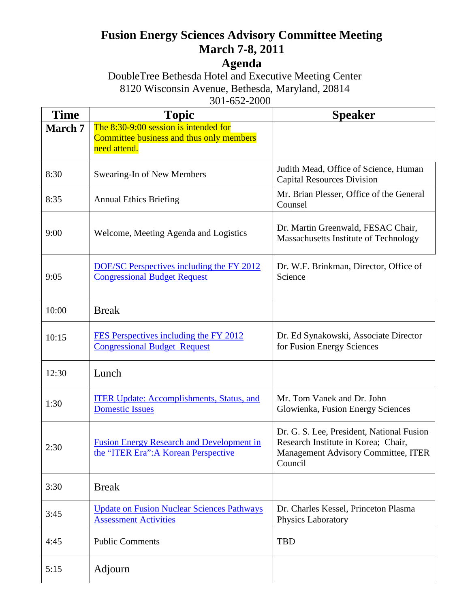## **Fusion Energy Sciences Advisory Committee Meeting March 7-8, 2011**

## **Agenda**

DoubleTree Bethesda Hotel and Executive Meeting Center 8120 Wisconsin Avenue, Bethesda, Maryland, 20814 301-652-2000

| <b>Time</b>    | <b>Topic</b>                                                                                      | <b>Speaker</b>                                                                                                                     |
|----------------|---------------------------------------------------------------------------------------------------|------------------------------------------------------------------------------------------------------------------------------------|
| <b>March 7</b> | The 8:30-9:00 session is intended for<br>Committee business and thus only members<br>need attend. |                                                                                                                                    |
| 8:30           | Swearing-In of New Members                                                                        | Judith Mead, Office of Science, Human<br><b>Capital Resources Division</b>                                                         |
| 8:35           | <b>Annual Ethics Briefing</b>                                                                     | Mr. Brian Plesser, Office of the General<br>Counsel                                                                                |
| 9:00           | Welcome, Meeting Agenda and Logistics                                                             | Dr. Martin Greenwald, FESAC Chair,<br>Massachusetts Institute of Technology                                                        |
| 9:05           | DOE/SC Perspectives including the FY 2012<br><b>Congressional Budget Request</b>                  | Dr. W.F. Brinkman, Director, Office of<br>Science                                                                                  |
| 10:00          | <b>Break</b>                                                                                      |                                                                                                                                    |
| 10:15          | FES Perspectives including the FY 2012<br><b>Congressional Budget Request</b>                     | Dr. Ed Synakowski, Associate Director<br>for Fusion Energy Sciences                                                                |
| 12:30          | Lunch                                                                                             |                                                                                                                                    |
| 1:30           | <b>ITER Update: Accomplishments, Status, and</b><br><b>Domestic Issues</b>                        | Mr. Tom Vanek and Dr. John<br>Glowienka, Fusion Energy Sciences                                                                    |
| 2:30           | <b>Fusion Energy Research and Development in</b><br>the "ITER Era": A Korean Perspective          | Dr. G. S. Lee, President, National Fusion<br>Research Institute in Korea; Chair,<br>Management Advisory Committee, ITER<br>Council |
| 3:30           | <b>Break</b>                                                                                      |                                                                                                                                    |
| 3:45           | <b>Update on Fusion Nuclear Sciences Pathways</b><br><b>Assessment Activities</b>                 | Dr. Charles Kessel, Princeton Plasma<br><b>Physics Laboratory</b>                                                                  |
| 4:45           | <b>Public Comments</b>                                                                            | <b>TBD</b>                                                                                                                         |
| 5:15           | Adjourn                                                                                           |                                                                                                                                    |